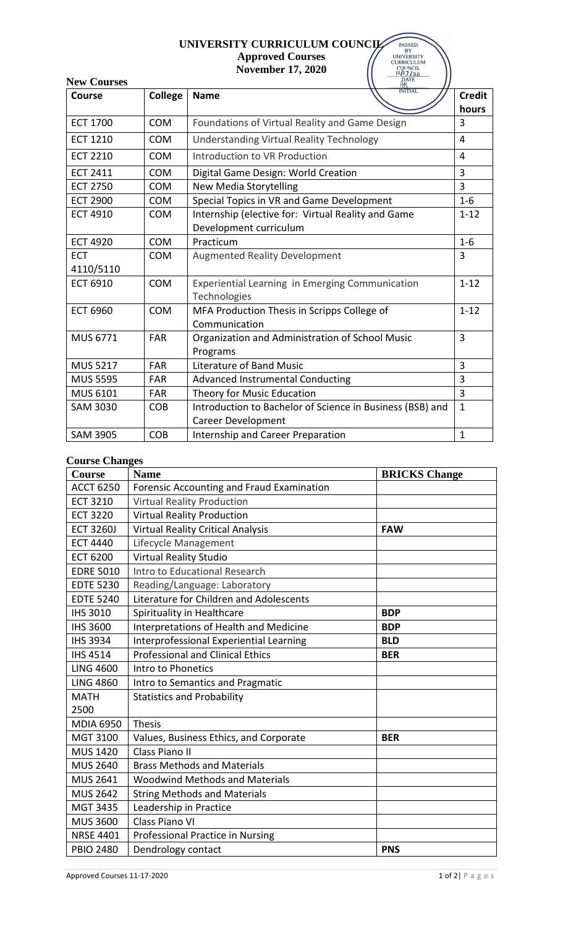## **UNIVERSITY CURRICULUM COUNCIL Approved Courses November 17, 2020** 11

| UNIVERSITY CURRICULUM COUNCIL<br><b>PASSED</b><br>BY<br><b>Approved Courses</b><br><b>UNIVERSITY</b><br><b>CURRICULUM</b><br>COUNCIL<br>11/17/20<br>DATE<br><b>November 17, 2020</b> |            |                                                           |                        |  |  |  |
|--------------------------------------------------------------------------------------------------------------------------------------------------------------------------------------|------------|-----------------------------------------------------------|------------------------|--|--|--|
| <b>New Courses</b><br><b>INITIAL</b>                                                                                                                                                 |            |                                                           |                        |  |  |  |
| Course                                                                                                                                                                               | College    | <b>Name</b>                                               | <b>Credit</b><br>hours |  |  |  |
| <b>ECT 1700</b>                                                                                                                                                                      | <b>COM</b> | Foundations of Virtual Reality and Game Design            | 3                      |  |  |  |
| <b>ECT 1210</b>                                                                                                                                                                      | <b>COM</b> | <b>Understanding Virtual Reality Technology</b>           |                        |  |  |  |
| <b>ECT 2210</b>                                                                                                                                                                      | <b>COM</b> | Introduction to VR Production                             |                        |  |  |  |
| <b>ECT 2411</b>                                                                                                                                                                      | <b>COM</b> | Digital Game Design: World Creation                       | 3                      |  |  |  |
| <b>ECT 2750</b>                                                                                                                                                                      | <b>COM</b> | <b>New Media Storytelling</b>                             | 3                      |  |  |  |
| <b>ECT 2900</b>                                                                                                                                                                      | <b>COM</b> | Special Topics in VR and Game Development                 | $1 - 6$                |  |  |  |
| <b>ECT 4910</b>                                                                                                                                                                      | <b>COM</b> | Internship (elective for: Virtual Reality and Game        | $1 - 12$               |  |  |  |
|                                                                                                                                                                                      |            | Development curriculum                                    |                        |  |  |  |
| <b>ECT 4920</b>                                                                                                                                                                      | <b>COM</b> | Practicum                                                 |                        |  |  |  |
| <b>ECT</b>                                                                                                                                                                           | <b>COM</b> | <b>Augmented Reality Development</b>                      |                        |  |  |  |
| 4110/5110                                                                                                                                                                            |            |                                                           |                        |  |  |  |
| <b>ECT 6910</b>                                                                                                                                                                      | <b>COM</b> | Experiential Learning in Emerging Communication           |                        |  |  |  |
|                                                                                                                                                                                      |            | Technologies                                              |                        |  |  |  |
| <b>ECT 6960</b>                                                                                                                                                                      | <b>COM</b> | MFA Production Thesis in Scripps College of               | $1 - 12$               |  |  |  |
|                                                                                                                                                                                      |            | Communication                                             |                        |  |  |  |
| MUS 6771                                                                                                                                                                             | <b>FAR</b> | Organization and Administration of School Music           | 3                      |  |  |  |
|                                                                                                                                                                                      |            | Programs                                                  |                        |  |  |  |
| <b>MUS 5217</b>                                                                                                                                                                      | <b>FAR</b> | Literature of Band Music                                  | 3                      |  |  |  |
| <b>MUS 5595</b>                                                                                                                                                                      | <b>FAR</b> | <b>Advanced Instrumental Conducting</b>                   | 3                      |  |  |  |
| MUS 6101                                                                                                                                                                             | FAR        | Theory for Music Education                                | 3                      |  |  |  |
| <b>SAM 3030</b>                                                                                                                                                                      | <b>COB</b> | Introduction to Bachelor of Science in Business (BSB) and | $\mathbf{1}$           |  |  |  |
|                                                                                                                                                                                      |            | Career Development                                        |                        |  |  |  |
| <b>SAM 3905</b>                                                                                                                                                                      | <b>COB</b> | Internship and Career Preparation<br>$\mathbf{1}$         |                        |  |  |  |

## **Course Changes**

| <b>Course</b>    | <b>Name</b>                               | <b>BRICKS Change</b> |  |  |
|------------------|-------------------------------------------|----------------------|--|--|
| <b>ACCT 6250</b> | Forensic Accounting and Fraud Examination |                      |  |  |
| <b>ECT 3210</b>  | <b>Virtual Reality Production</b>         |                      |  |  |
| <b>ECT 3220</b>  | <b>Virtual Reality Production</b>         |                      |  |  |
| <b>ECT 3260J</b> | <b>Virtual Reality Critical Analysis</b>  | <b>FAW</b>           |  |  |
| <b>ECT 4440</b>  | Lifecycle Management                      |                      |  |  |
| <b>ECT 6200</b>  | <b>Virtual Reality Studio</b>             |                      |  |  |
| <b>EDRE 5010</b> | Intro to Educational Research             |                      |  |  |
| <b>EDTE 5230</b> | Reading/Language: Laboratory              |                      |  |  |
| <b>EDTE 5240</b> | Literature for Children and Adolescents   |                      |  |  |
| <b>IHS 3010</b>  | Spirituality in Healthcare                | <b>BDP</b>           |  |  |
| <b>IHS 3600</b>  | Interpretations of Health and Medicine    | <b>BDP</b>           |  |  |
| <b>IHS 3934</b>  | Interprofessional Experiential Learning   | <b>BLD</b>           |  |  |
| <b>IHS 4514</b>  | <b>Professional and Clinical Ethics</b>   | <b>BER</b>           |  |  |
| <b>LING 4600</b> | Intro to Phonetics                        |                      |  |  |
| <b>LING 4860</b> | Intro to Semantics and Pragmatic          |                      |  |  |
| <b>MATH</b>      | <b>Statistics and Probability</b>         |                      |  |  |
| 2500             |                                           |                      |  |  |
| <b>MDIA 6950</b> | <b>Thesis</b>                             |                      |  |  |
| MGT 3100         | Values, Business Ethics, and Corporate    | <b>BER</b>           |  |  |
| <b>MUS 1420</b>  | Class Piano II                            |                      |  |  |
| <b>MUS 2640</b>  | <b>Brass Methods and Materials</b>        |                      |  |  |
| MUS 2641         | <b>Woodwind Methods and Materials</b>     |                      |  |  |
| <b>MUS 2642</b>  | <b>String Methods and Materials</b>       |                      |  |  |
| <b>MGT 3435</b>  | Leadership in Practice                    |                      |  |  |
| <b>MUS 3600</b>  | Class Piano VI                            |                      |  |  |
| <b>NRSE 4401</b> | Professional Practice in Nursing          |                      |  |  |
| <b>PBIO 2480</b> | Dendrology contact                        | <b>PNS</b>           |  |  |